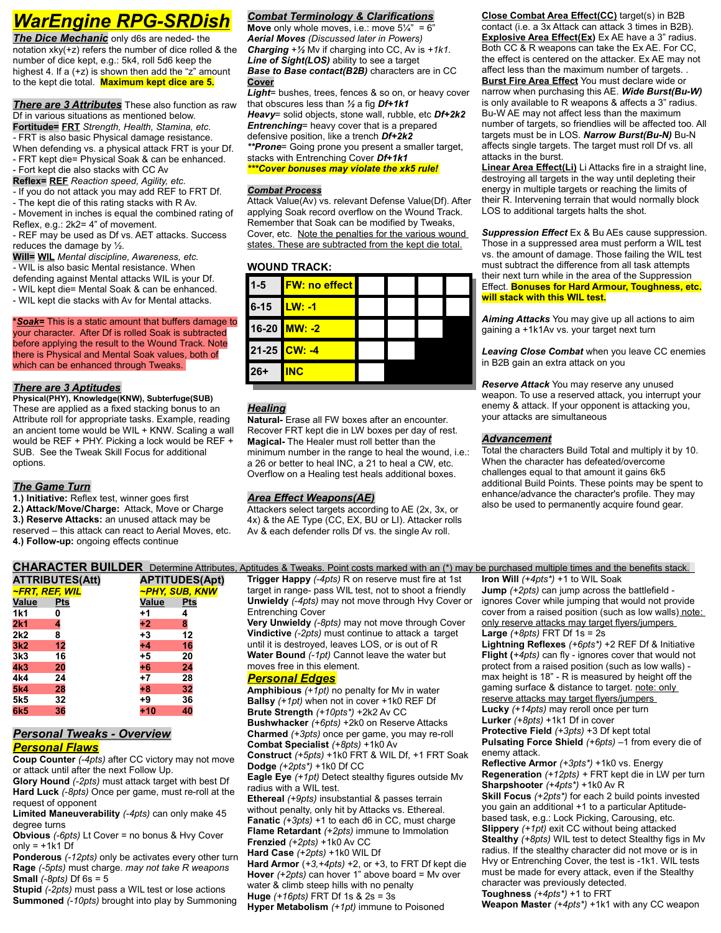# *WarEngine RPG-SRDish*

**The Dice Mechanic** only d6s are neded- the notation xky(+z) refers the number of dice rolled & the number of dice kept, e.g.: 5k4, roll 5d6 keep the highest 4. If a (+z) is shown then add the "z" amount to the kept die total. **Maximum kept dice are 5.**

*There are 3 Attributes* These also function as raw Df in various situations as mentioned below. **Fortitude= FRT** *Strength, Health, Stamina, etc. -* FRT is also basic Physical damage resistance. When defending vs. a physical attack FRT is your Df. - FRT kept die= Physical Soak & can be enhanced.

- Fort kept die also stacks with CC Av
- **Reflex= REF** *Reaction speed, Agility, etc.*
- If you do not attack you may add REF to FRT Df.

- The kept die of this rating stacks with R Av. - Movement in inches is equal the combined rating of Reflex, e.g.: 2k2= 4" of movement.

- REF may be used as Df vs. AET attacks. Success reduces the damage by ½.

**Will= WIL** *Mental discipline, Awareness, etc. -* WIL is also basic Mental resistance. When defending against Mental attacks WIL is your Df. - WIL kept die= Mental Soak & can be enhanced. - WIL kept die stacks with Av for Mental attacks.

**\****Soak=* This is a static amount that buffers damage to your character. After Df is rolled Soak is subtracted before applying the result to the Wound Track. Note there is Physical and Mental Soak values, both of which can be enhanced through Tweaks.

#### *There are 3 Aptitudes*

**Physical(PHY), Knowledge(KNW), Subterfuge(SUB)** These are applied as a fixed stacking bonus to an Attribute roll for appropriate tasks. Example, reading an ancient tome would be WIL + KNW. Scaling a wall would be REF + PHY. Picking a lock would be REF + SUB. See the Tweak Skill Focus for additional options.

#### *The Game Turn*

**1.) Initiative:** Reflex test, winner goes first

**2.) Attack/Move/Charge:** Attack, Move or Charge **3.) Reserve Attacks:** an unused attack may be reserved – this attack can react to Aerial Moves, etc.

**4.) Follow-up:** ongoing effects continue

|                 | <b>CHARAC LER BUILDER</b> Determine Attribut |       |                             |
|-----------------|----------------------------------------------|-------|-----------------------------|
|                 | <b>ATTRIBUTES(Att)</b>                       |       | <b>APTITUDES(Apt)</b>       |
| ~FRT, REF, WIL  |                                              |       | <mark>~PHY, SUB, KNW</mark> |
| <u>Value</u>    | <b>Pts</b>                                   | Value | <b>Pts</b>                  |
| 1k1             | 0                                            | $+1$  | 4                           |
| <b>2k1</b>      | 4                                            | $+2$  | 8                           |
| 2k2             | 8                                            | $+3$  | 12                          |
| 3k <sub>2</sub> | 12                                           | $+4$  | 16                          |
| 3k <sub>3</sub> | 16                                           | $+5$  | 20                          |
| 4k3             | 20                                           | $+6$  | 24                          |
| 4k4             | 24                                           | $+7$  | 28                          |
| <b>5k4</b>      | 28                                           | $+8$  | 32                          |
| 5k5             | 32                                           | $+9$  | 36                          |
| 6k5             | 36                                           | $+10$ | 40                          |

# *Personal Tweaks - Overview*

*Personal Flaws*

**Coup Counter** *(-4pts)* after CC victory may not move or attack until after the next Follow Up.

**Glory Hound** *(-2pts)* must attack target with best Df **Hard Luck** *(-8pts)* Once per game, must re-roll at the request of opponent

**Limited Maneuverability** *(-4pts)* can only make 45 degree turns

**Obvious** *(-6pts)* Lt Cover = no bonus & Hvy Cover  $only = +1k1$  Df

**Ponderous** *(-12pts)* only be activates every other turn **Rage** *(-5pts)* must charge. *may not take R weapons* **Small** *(-8pts)* Df 6s = 5

**Stupid** *(-2pts)* must pass a WIL test or lose actions **Summoned** *(-10pts)* brought into play by Summoning

#### *Combat Terminology & Clarifications*

**Move** only whole moves, i.e.: move  $5\frac{1}{4}$ " = 6" *Aerial Moves (Discussed later in Powers) Charging* +*½* Mv if charging into CC, Av is *+1k1*. *Line of Sight(LOS)* ability to see a target *Base to Base contact(B2B)* characters are in CC **Cover**

*Light*= bushes, trees, fences & so on, or heavy cover that obscures less than *½* a fig *Df+1k1 Heavy*= solid objects, stone wall, rubble, etc *Df+2k2 Entrenching*= heavy cover that is a prepared defensive position, like a trench *Df+2k2 \*\*Prone*= Going prone you present a smaller target,

stacks with Entrenching Cover *Df+1k1 \*\*\*Cover bonuses may violate the xk5 rule!*

#### *Combat Process*

Attack Value(Av) vs. relevant Defense Value(Df). After applying Soak record overflow on the Wound Track. Remember that Soak can be modified by Tweaks, Cover, etc. Note the penalties for the various wound states. These are subtracted from the kept die total.

### **WOUND TRACK:**



## *Healing*

**Natural-** Erase all FW boxes after an encounter. Recover FRT kept die in LW boxes per day of rest. **Magical-** The Healer must roll better than the minimum number in the range to heal the wound, i.e.: a 26 or better to heal INC, a 21 to heal a CW, etc. Overflow on a Healing test heals additional boxes.

### *Area Effect Weapons(AE)*

Attackers select targets according to AE (2x, 3x, or 4x) & the AE Type (CC, EX, BU or LI). Attacker rolls Av & each defender rolls Df vs. the single Av roll.

**Close Combat Area Effect(CC)** target(s) in B2B contact (i.e. a 3x Attack can attack 3 times in B2B). **Explosive Area Effect(Ex)** Ex AE have a 3" radius. Both CC & R weapons can take the Ex AE. For CC, the effect is centered on the attacker. Ex AE may not affect less than the maximum number of targets. . **Burst Fire Area Effect** You must declare wide or narrow when purchasing this AE. *Wide Burst(Bu-W)* is only available to R weapons & affects a 3" radius. Bu-W AE may not affect less than the maximum number of targets, so friendlies will be affected too. All targets must be in LOS. *Narrow Burst(Bu-N)* Bu-N affects single targets. The target must roll Df vs. all attacks in the burst.

**Linear Area Effect(Li)** Li Attacks fire in a straight line, destroying all targets in the way until depleting their energy in multiple targets or reaching the limits of their R. Intervening terrain that would normally block LOS to additional targets halts the shot.

*Suppression Effect* Ex & Bu AEs cause suppression. Those in a suppressed area must perform a WIL test vs. the amount of damage. Those failing the WIL test must subtract the difference from all task attempts their next turn while in the area of the Suppression Effect. **Bonuses for Hard Armour, Toughness, etc. will stack with this WIL test.**

*Aiming Attacks* You may give up all actions to aim gaining a +1k1Av vs. your target next turn

*Leaving Close Combat* when you leave CC enemies in B2B gain an extra attack on you

*Reserve Attack* You may reserve any unused weapon. To use a reserved attack, you interrupt your enemy & attack. If your opponent is attacking you, your attacks are simultaneous

#### *Advancement*

Total the characters Build Total and multiply it by 10. When the character has defeated/overcome challenges equal to that amount it gains 6k5 additional Build Points. These points may be spent to enhance/advance the character's profile. They may also be used to permanently acquire found gear.

**Trigger Happy** *(-4pts)* R on reserve must fire at 1st target in range- pass WIL test, not to shoot a friendly **Unwieldy** *(-4pts)* may not move through Hvy Cover or Entrenching Cover

**Very Unwieldy** *(-8pts)* may not move through Cover **Vindictive** *(-2pts)* must continue to attack a target until it is destroyed, leaves LOS, or is out of R **Water Bound** *(-1pt)* Cannot leave the water but moves free in this element.

### *Personal Edges*

**Amphibious** *(+1pt)* no penalty for Mv in water **Ballsy** *(+1pt)* when not in cover +1k0 REF Df **Brute Strength** *(+10pts\*)* +2k2 Av CC **Bushwhacker** *(+6pts)* +2k0 on Reserve Attacks **Charmed** *(+3pts)* once per game, you may re-roll **Combat Specialist** *(+8pts)* +1k0 Av

**Construct** *(+5pts)* +1k0 FRT & WIL Df, +1 FRT Soak **Dodge** *(+2pts\*)* +1k0 Df CC

**Eagle Eye** *(+1pt)* Detect stealthy figures outside Mv radius with a WIL test.

**Ethereal** *(+9pts)* insubstantial & passes terrain without penalty, only hit by Attacks vs. Ethereal. **Fanatic** *(+3pts)* +1 to each d6 in CC, must charge **Flame Retardant** *(+2pts)* immune to Immolation

**Frenzied** *(+2pts)* +1k0 Av CC

**Hard Case** *(+2pts)* +1k0 WIL Df **Hard Armor** (*+3,+4pts)* +2, or +3, to FRT Df kept die **Hover** *(+2pts)* can hover 1" above board = Mv over water & climb steep hills with no penalty **Huge** *(+16pts)* FRT Df 1s & 2s = 3s

**Hyper Metabolism** *(+1pt)* immune to Poisoned

**CHARACTER BUILDER** Determine Attributes, Aptitudes & Tweaks. Point costs marked with an (\*) may be purchased multiple times and the benefits stack. **Iron Will** *(+4pts\*)* +1 to WIL Soak

**Jump** *(+2pts)* can jump across the battlefield ignores Cover while jumping that would not provide cover from a raised position (such as low walls) note: only reserve attacks may target flyers/jumpers **Large** *(+8pts)* FRT Df 1s = 2s

**Lightning Reflexes** *(+6pts\*)* +2 REF Df & Initiative **Flight (***+4pts)* can fly - ignores cover that would not protect from a raised position (such as low walls) max height is 18" - R is measured by height off the gaming surface & distance to target. note: only reserve attacks may target flyers/jumpers **Lucky** *(+14pts)* may reroll once per turn

**Lurker** *(+8pts)* +1k1 Df in cover

**Protective Field** *(+3pts)* +3 Df kept total

**Pulsating Force Shield** *(+6pts)* –1 from every die of enemy attack.

**Reflective Armor** *(+3pts\*)* +1k0 vs. Energy **Regeneration** *(+12pts) +* FRT kept die in LW per turn **Sharpshooter** *(+4pts\*)* +1k0 Av R

**Skill Focus** *(+2pts\*)* for each 2 build points invested you gain an additional +1 to a particular Aptitudebased task, e.g.: Lock Picking, Carousing, etc. **Slippery** *(+1pt)* exit CC without being attacked **Stealthy** *(+8pts)* WIL test to detect Stealthy figs in Mv radius. If the stealthy character did not move or is in Hvy or Entrenching Cover, the test is -1k1. WIL tests must be made for every attack, even if the Stealthy character was previously detected.

**Toughness** *(+4pts\*)* +1 to FRT

**Weapon Master** *(+4pts\*)* +1k1 with any CC weapon